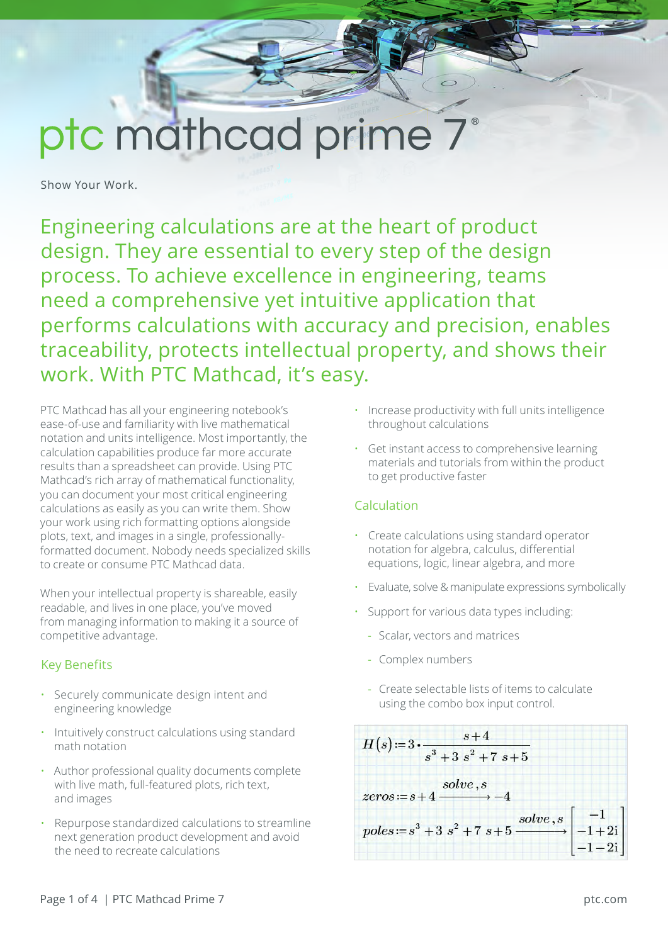# ptc mathcad prime 7

Show Your Work.

Engineering calculations are at the heart of product design. They are essential to every step of the design process. To achieve excellence in engineering, teams need a comprehensive yet intuitive application that performs calculations with accuracy and precision, enables traceability, protects intellectual property, and shows their work. With PTC Mathcad, it's easy.

PTC Mathcad has all your engineering notebook's ease-of-use and familiarity with live mathematical notation and units intelligence. Most importantly, the calculation capabilities produce far more accurate results than a spreadsheet can provide. Using PTC Mathcad's rich array of mathematical functionality, you can document your most critical engineering calculations as easily as you can write them. Show your work using rich formatting options alongside plots, text, and images in a single, professionallyformatted document. Nobody needs specialized skills to create or consume PTC Mathcad data.

When your intellectual property is shareable, easily readable, and lives in one place, you've moved from managing information to making it a source of competitive advantage.

# Key Benefits

- Securely communicate design intent and engineering knowledge
- Intuitively construct calculations using standard math notation
- Author professional quality documents complete with live math, full-featured plots, rich text, and images
- Repurpose standardized calculations to streamline next generation product development and avoid the need to recreate calculations
- Increase productivity with full units intelligence throughout calculations
- Get instant access to comprehensive learning materials and tutorials from within the product to get productive faster

# Calculation

- Create calculations using standard operator notation for algebra, calculus, differential equations, logic, linear algebra, and more
- Evaluate, solve & manipulate expressions symbolically
- Support for various data types including:
	- Scalar, vectors and matrices
	- Complex numbers
	- Create selectable lists of items to calculate using the combo box input control.

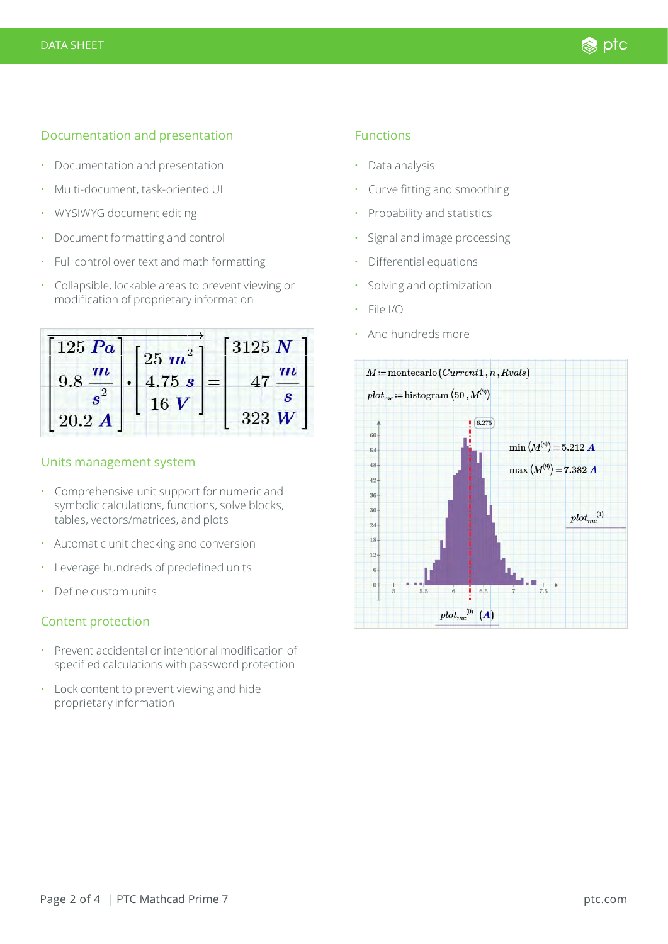## Documentation and presentation

- Documentation and presentation
- Multi-document, task-oriented UI
- WYSIWYG document editing
- Document formatting and control
- Full control over text and math formatting
- Collapsible, lockable areas to prevent viewing or modification of proprietary information



#### Units management system

- Comprehensive unit support for numeric and symbolic calculations, functions, solve blocks, tables, vectors/matrices, and plots
- Automatic unit checking and conversion
- Leverage hundreds of predefined units
- Define custom units

# Content protection

- Prevent accidental or intentional modification of specified calculations with password protection
- Lock content to prevent viewing and hide proprietary information

#### Functions

- Data analysis
- Curve fitting and smoothing
- Probability and statistics
- Signal and image processing
- Differential equations
- Solving and optimization
- File I/O
- And hundreds more

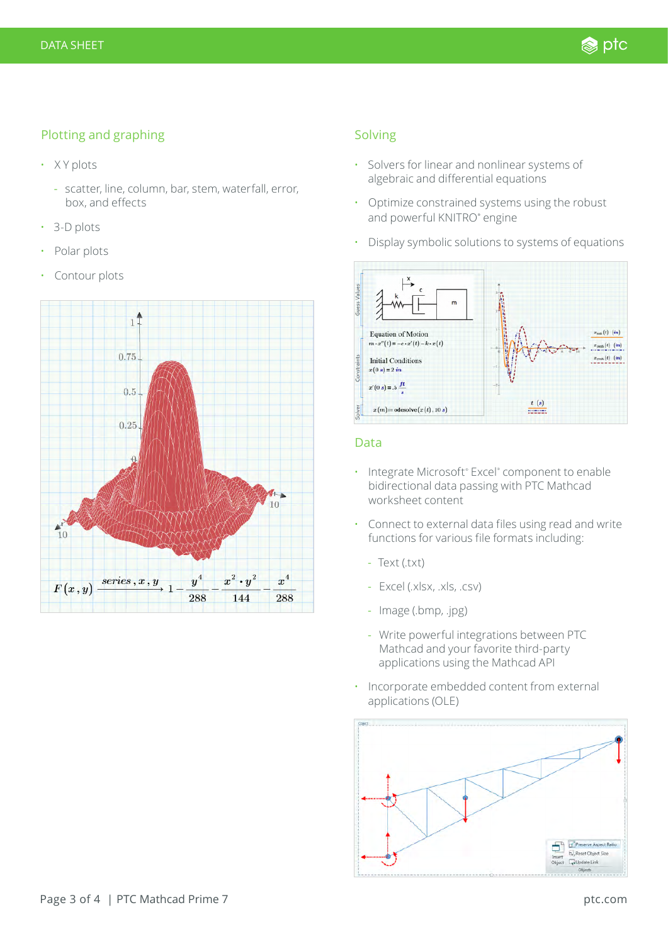# Plotting and graphing

- X Y plots
	- scatter, line, column, bar, stem, waterfall, error, box, and effects
- 3-D plots
- Polar plots
- Contour plots



## Solving

- Solvers for linear and nonlinear systems of algebraic and differential equations
- Optimize constrained systems using the robust and powerful KNITRO® engine
- Display symbolic solutions to systems of equations



## Data

- Integrate Microsoft® Excel® component to enable bidirectional data passing with PTC Mathcad worksheet content
- Connect to external data files using read and write functions for various file formats including:
	- Text (.txt)
	- Excel (.xlsx, .xls, .csv)
	- Image (.bmp, .jpg)
	- Write powerful integrations between PTC Mathcad and your favorite third-party applications using the Mathcad API
- Incorporate embedded content from external applications (OLE)